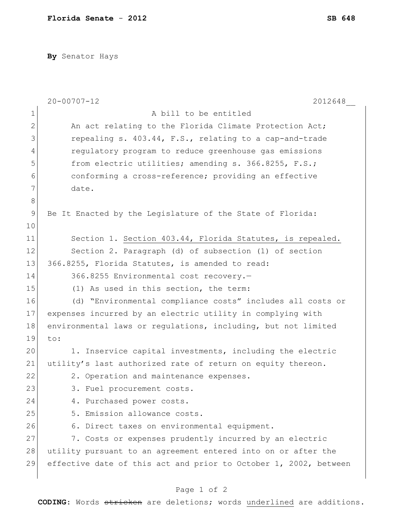**By** Senator Hays

|              | $20 - 00707 - 12$<br>2012648                                     |
|--------------|------------------------------------------------------------------|
| $\mathbf 1$  | A bill to be entitled                                            |
| $\mathbf{2}$ | An act relating to the Florida Climate Protection Act;           |
| 3            | repealing s. 403.44, F.S., relating to a cap-and-trade           |
| 4            | regulatory program to reduce greenhouse gas emissions            |
| 5            | from electric utilities; amending s. 366.8255, F.S.;             |
| 6            | conforming a cross-reference; providing an effective             |
| 7            | date.                                                            |
| $\,8\,$      |                                                                  |
| $\mathsf 9$  | Be It Enacted by the Legislature of the State of Florida:        |
| 10           |                                                                  |
| 11           | Section 1. Section 403.44, Florida Statutes, is repealed.        |
| 12           | Section 2. Paragraph (d) of subsection (1) of section            |
| 13           | 366.8255, Florida Statutes, is amended to read:                  |
| 14           | 366.8255 Environmental cost recovery.-                           |
| 15           | (1) As used in this section, the term:                           |
| 16           | (d) "Environmental compliance costs" includes all costs or       |
| 17           | expenses incurred by an electric utility in complying with       |
| 18           | environmental laws or regulations, including, but not limited    |
| 19           | to:                                                              |
| 20           | 1. Inservice capital investments, including the electric         |
| 21           | utility's last authorized rate of return on equity thereon.      |
| 22           | 2. Operation and maintenance expenses.                           |
| 23           | 3. Fuel procurement costs.                                       |
| 24           | 4. Purchased power costs.                                        |
| 25           | 5. Emission allowance costs.                                     |
| 26           | 6. Direct taxes on environmental equipment.                      |
| 27           | 7. Costs or expenses prudently incurred by an electric           |
| 28           | utility pursuant to an agreement entered into on or after the    |
| 29           | effective date of this act and prior to October 1, 2002, between |
|              |                                                                  |

## Page 1 of 2

**CODING**: Words stricken are deletions; words underlined are additions.